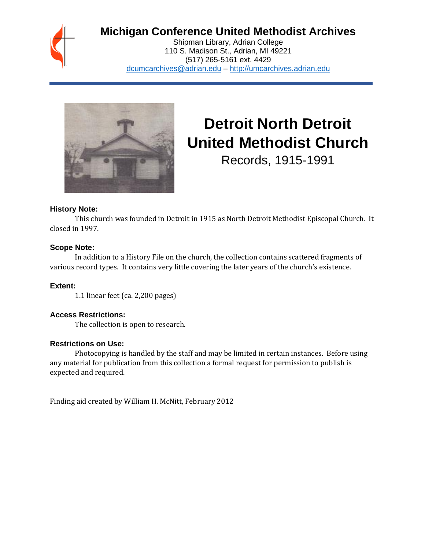

# **Michigan Conference United Methodist Archives**

Shipman Library, Adrian College 110 S. Madison St., Adrian, MI 49221 (517) 265-5161 ext. 4429 [dcumcarchives@adrian.edu](mailto:dcumcarchives@adrian.edu) – [http://umcarchives.adrian.edu](http://umcarchives.adrian.edu/)



# **Detroit North Detroit United Methodist Church**

Records, 1915-1991

#### **History Note:**

This church was founded in Detroit in 1915 as North Detroit Methodist Episcopal Church. It closed in 1997.

# **Scope Note:**

In addition to a History File on the church, the collection contains scattered fragments of various record types. It contains very little covering the later years of the church's existence.

# **Extent:**

1.1 linear feet (ca. 2,200 pages)

# **Access Restrictions:**

The collection is open to research.

# **Restrictions on Use:**

Photocopying is handled by the staff and may be limited in certain instances. Before using any material for publication from this collection a formal request for permission to publish is expected and required.

Finding aid created by William H. McNitt, February 2012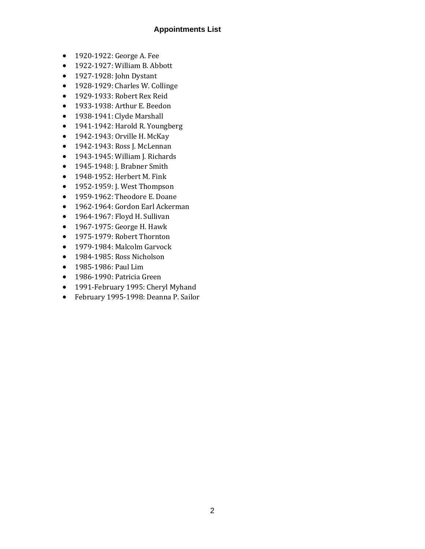# **Appointments List**

- 1920-1922: George A. Fee
- 1922-1927: William B. Abbott
- 1927-1928: John Dystant
- 1928-1929: Charles W. Collinge
- 1929-1933: Robert Rex Reid
- 1933-1938: Arthur E. Beedon
- 1938-1941: Clyde Marshall
- 1941-1942: Harold R. Youngberg
- 1942-1943: Orville H. McKay
- 1942-1943: Ross J. McLennan
- 1943-1945: William J. Richards
- 1945-1948: J. Brabner Smith
- 1948-1952: Herbert M. Fink
- 1952-1959: J. West Thompson
- 1959-1962: Theodore E. Doane
- 1962-1964: Gordon Earl Ackerman
- 1964-1967: Floyd H. Sullivan
- 1967-1975: George H. Hawk
- 1975-1979: Robert Thornton
- 1979-1984: Malcolm Garvock
- 1984-1985: Ross Nicholson
- 1985-1986: Paul Lim
- 1986-1990: Patricia Green
- 1991-February 1995: Cheryl Myhand
- February 1995-1998: Deanna P. Sailor